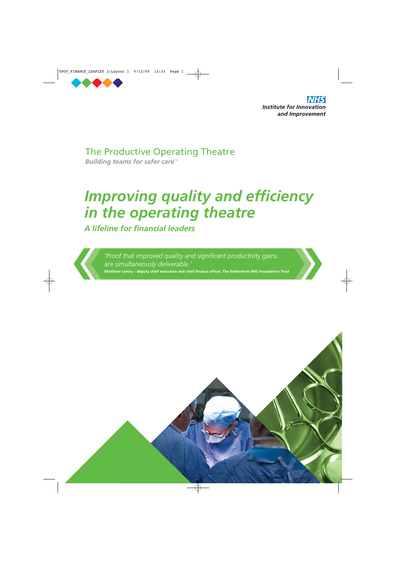

**Institute for Innovation** and Improvement

The Productive Operating Theatre

**Building teams for safer care<sup>™</sup>** 

# *Improving quality and efficiency in the operating theatre*

*A lifeline for financial leaders*

*'Proof that improved quality and significant productivity gains are simultaneously deliverable.'* **Matthew Lowry** — **deputy chief executive and chief finance officer, The Rotherham NHS Foundation Trust**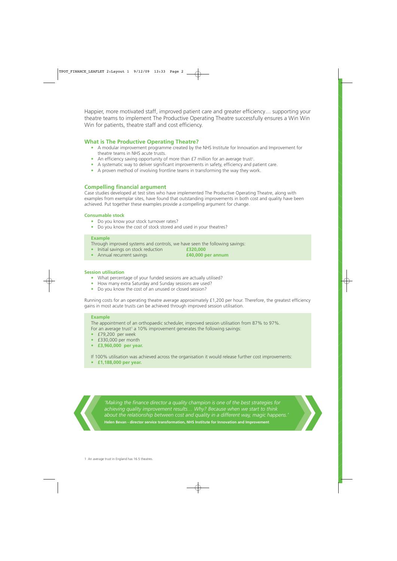Happier, more motivated staff, improved patient care and greater efficiency… supporting your theatre teams to implement The Productive Operating Theatre successfully ensures a Win Win Win for patients, theatre staff and cost efficiency.

# **What is The Productive Operating Theatre?**

- A modular improvement programme created by the NHS Institute for Innovation and Improvement for theatre teams in NHS acute trusts.
- An efficiency saving opportunity of more than  $f$ 7 million for an average trust<sup>1</sup>.
- A systematic way to deliver significant improvements in safety, efficiency and patient care.
- A proven method of involving frontline teams in transforming the way they work.

# **Compelling financial argument**

Case studies developed at test sites who have implemented The Productive Operating Theatre, along with examples from exemplar sites, have found that outstanding improvements in both cost and quality have been achieved. Put together these examples provide a compelling argument for change.

## **Consumable stock**

- Do you know your stock turnover rates?
- Do you know the cost of stock stored and used in your theatres?

#### **Example**

Through improved systems and controls, we have seen the following savings:<br>• Initial savings on stock reduction **E320,000** 

- Initial savings on stock reduction **£320,000**
- Annual recurrent savings **£40,000 per annum**
- 
- 

## **Session utilisation**

- What percentage of your funded sessions are actually utilised?
- How many extra Saturday and Sunday sessions are used?
- Do you know the cost of an unused or closed session?

Running costs for an operating theatre average approximately £1,200 per hour. Therefore, the greatest efficiency gains in most acute trusts can be achieved through improved session utilisation.

#### **Example**

The appointment of an orthopaedic scheduler, improved session utilisation from 87% to 97%. For an average trust<sup>1</sup> a 10% improvement generates the following savings:

- £79,200 per week
- £330,000 per month
- **£3,960,000 per year.**

If 100% utilisation was achieved across the organisation it would release further cost improvements:

**• £1,188,000 per year.**

*'Making the finance director a quality champion is one of the best strategies for achieving quality improvement results… Why? Because when we start to think about the relationship between cost and quality in a different way, magic happens.'* **Helen Bevan - director service transformation, NHS Institute for Innovation and Improvement**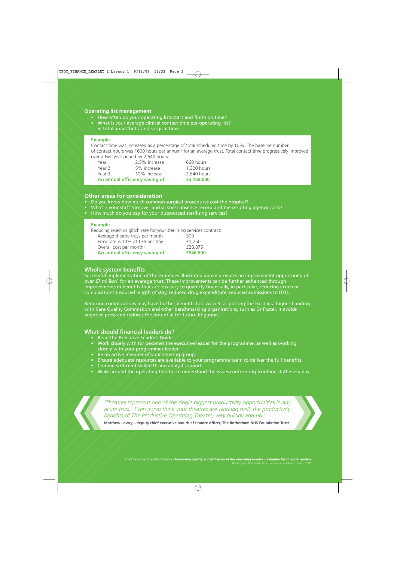## **Operating list management**

- How often do your operating lists start and finish on time?
- What is your average clinical contact time per operating list?
- ie total anaesthetic and surgical time.

## **Example**

Contact time was increased as a percentage of total scheduled time by 10%. The baseline number of contact hours was 1600 hours per annum1 for an average trust. Total contact time progressively improved over a two year period by 2,640 hours:

Year 1 2.5% increase 660 hours Year 2 5% increase 1,320 hours<br>
Year 3 10% increase 2.640 hours Year 3 10% increase 2,640 hours<br> **An annual efficiency saving of E3,168,000 An annual efficiency saving of** 

## **Other areas for consideration**

- Do you know how much common surgical procedures cost the hospital?
- What is your staff turnover and sickness absence record and the resulting agency costs?
- How much do you pay for your outsourced sterilising services?

#### **Example**

Reducing reject or glitch rate for your sterilising services contract:

| An annual efficiency saving of      | £346,500 |
|-------------------------------------|----------|
| Overall cost per month <sup>1</sup> | £28,875  |
| Error rate is 10% at £35 per tray   | £1,750   |
| Average theatre trays per month     | 500      |

## **Whole system benefits**

Successful implementation of the examples illustrated above provides an improvement opportunity of over £7 million<sup>1</sup> for an average trust. These improvements can be further enhanced through improvements in benefits that are less easy to quantify financially, in particular, reducing errors or complications (reduced length of stay, reduced drug expenditure, reduced admissions to ITU).

Reducing complications may have further benefits too. As well as putting the trust in a higher banding with Care Quality Commission and other benchmarking organisations, such as Dr Foster, it avoids negative press and reduces the potential for future litigation.

# **What should financial leaders do?**

- Read the Executive Leader's Guide
- $\bullet$  Work closely with (or become) the executive leader for the programme, as well as working closely with your programmer leader.
- $\bullet'$  Be an active member of your steering group.
- Ensure adequate resources are available to your programme team to deliver the full benefits.
- $\bullet$  Commit sufficient skilled IT and analyst support.
- Walk-around the operating theatre to understand the issues confronting frontline staff every day.

*'Theatres represent one of the single biggest productivity opportunities in any acute trust. Even if you think your theatres are working well, the productivity benefits of The Productive Operating Theatre, very quickly add up.'*

**Matthew Lowry** — **deputy chief executive and chief finance officer, The Rotherham NHS Foundation Trust**